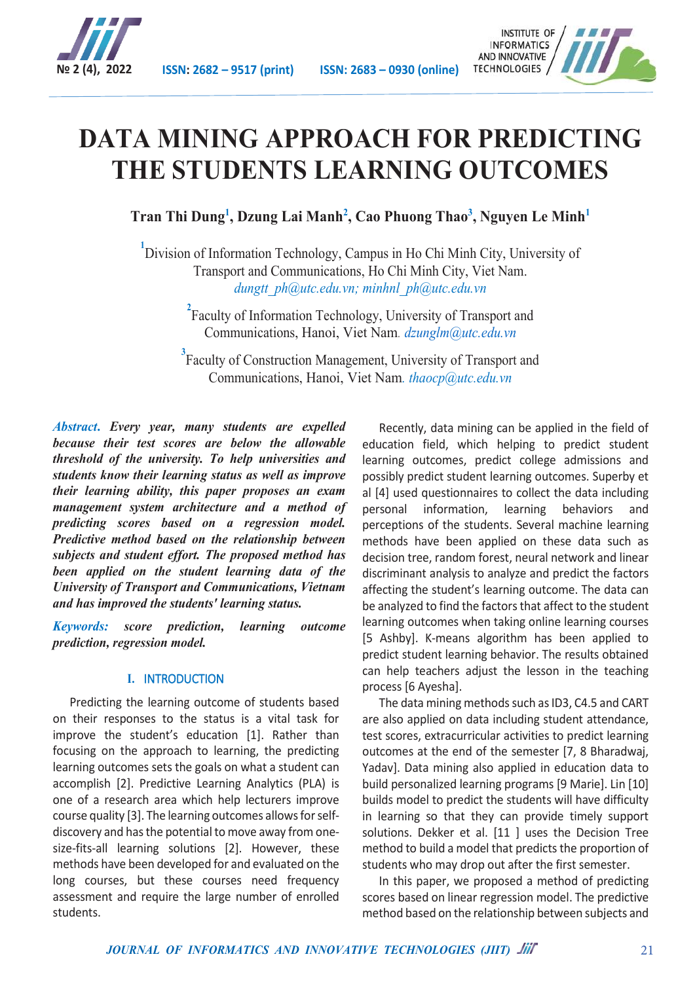



# **DATA MINING APPROACH FOR PREDICTING THE STUDENTS LEARNING OUTCOMES**

**Tran Thi Dung<sup>1</sup> , Dzung Lai Manh<sup>2</sup> , Cao Phuong Thao<sup>3</sup> , Nguyen Le Minh<sup>1</sup>**

<sup>1</sup> Division of Information Technology, Campus in Ho Chi Minh City, University of Transport and Communications, Ho Chi Minh City, Viet Nam. *dungtt\_ph@utc.edu.vn; minhnl\_ph@utc.edu.vn* 

> <sup>2</sup> Faculty of Information Technology, University of Transport and Communications, Hanoi, Viet Nam*. dzunglm@utc.edu.vn*

<sup>3</sup> Faculty of Construction Management, University of Transport and Communications, Hanoi, Viet Nam*. thaocp@utc.edu.vn*

*Abstract***.** *Every year, many students are expelled because their test scores are below the allowable threshold of the university. To help universities and students know their learning status as well as improve their learning ability, this paper proposes an exam management system architecture and a method of predicting scores based on a regression model. Predictive method based on the relationship between subjects and student effort. The proposed method has been applied on the student learning data of the University of Transport and Communications, Vietnam and has improved the students' learning status.*

*Keywords: score prediction, learning outcome prediction, regression model.*

## **I.** INTRODUCTION

Predicting the learning outcome of students based on their responses to the status is a vital task for improve the student's education [1]. Rather than focusing on the approach to learning, the predicting learning outcomes sets the goals on what a student can accomplish [2]. Predictive Learning Analytics (PLA) is one of a research area which help lecturers improve course quality [3]. The learning outcomes allows for selfdiscovery and has the potential to move away from onesize-fits-all learning solutions [2]. However, these methods have been developed for and evaluated on the long courses, but these courses need frequency assessment and require the large number of enrolled students.

Recently, data mining can be applied in the field of education field, which helping to predict student learning outcomes, predict college admissions and possibly predict student learning outcomes. Superby et al [4] used questionnaires to collect the data including personal information, learning behaviors and perceptions of the students. Several machine learning methods have been applied on these data such as decision tree, random forest, neural network and linear discriminant analysis to analyze and predict the factors affecting the student's learning outcome. The data can be analyzed to find the factors that affect to the student learning outcomes when taking online learning courses [5 Ashby]. K-means algorithm has been applied to predict student learning behavior. The results obtained can help teachers adjust the lesson in the teaching process [6 Ayesha].

The data mining methods such as ID3, C4.5 and CART are also applied on data including student attendance, test scores, extracurricular activities to predict learning outcomes at the end of the semester [7, 8 Bharadwaj, Yadav]. Data mining also applied in education data to build personalized learning programs [9 Marie]. Lin [10] builds model to predict the students will have difficulty in learning so that they can provide timely support solutions. Dekker et al. [11 ] uses the Decision Tree method to build a model that predicts the proportion of students who may drop out after the first semester.

In this paper, we proposed a method of predicting scores based on linear regression model. The predictive method based on the relationship between subjects and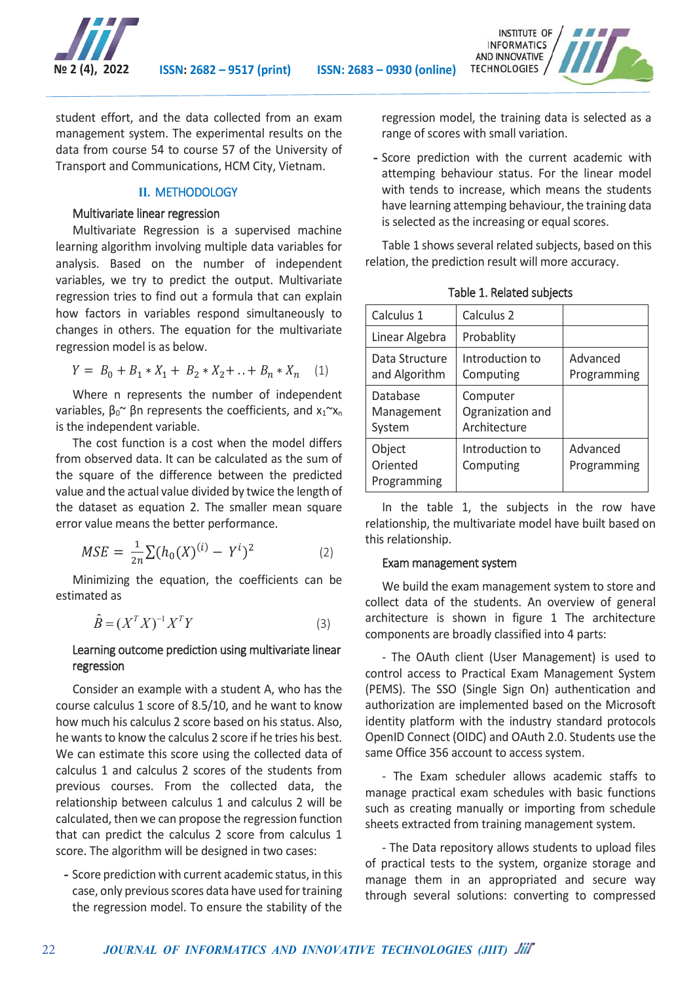



student effort, and the data collected from an exam management system. The experimental results on the data from course 54 to course 57 of the University of Transport and Communications, HCM City, Vietnam.

### **II.** METHODOLOGY

### Multivariate linear regression

Multivariate Regression is a supervised machine learning algorithm involving multiple data variables for analysis. Based on the number of independent variables, we try to predict the output. Multivariate regression tries to find out a formula that can explain how factors in variables respond simultaneously to changes in others. The equation for the multivariate regression model is as below.

$$
Y = B_0 + B_1 * X_1 + B_2 * X_2 + \ldots + B_n * X_n \quad (1)
$$

Where n represents the number of independent variables,  $β_0$ <sup>~</sup> βn represents the coefficients, and  $x_1$ <sup>~</sup> $x_n$ is the independent variable.

The cost function is a cost when the model differs from observed data. It can be calculated as the sum of the square of the difference between the predicted value and the actual value divided by twice the length of the dataset as equation 2. The smaller mean square error value means the better performance.

$$
MSE = \frac{1}{2n} \sum (h_0(X)^{(i)} - Y^i)^2
$$
 (2)

Minimizing the equation, the coefficients can be estimated as

$$
\hat{B} = (X^T X)^{-1} X^T Y \tag{3}
$$

## Learning outcome prediction using multivariate linear regression

Consider an example with a student A, who has the course calculus 1 score of 8.5/10, and he want to know how much his calculus 2 score based on his status. Also, he wants to know the calculus 2 score if he tries his best. We can estimate this score using the collected data of calculus 1 and calculus 2 scores of the students from previous courses. From the collected data, the relationship between calculus 1 and calculus 2 will be calculated, then we can propose the regression function that can predict the calculus 2 score from calculus 1 score. The algorithm will be designed in two cases:

**-** Score prediction with current academic status, in this case, only previous scores data have used fortraining the regression model. To ensure the stability of the

regression model, the training data is selected as a range of scores with small variation.

**-** Score prediction with the current academic with attemping behaviour status. For the linear model with tends to increase, which means the students have learning attemping behaviour, the training data is selected as the increasing or equal scores.

Table 1 shows several related subjects, based on this relation, the prediction result will more accuracy.

| Calculus 1                        | Calculus 2                                   |                         |
|-----------------------------------|----------------------------------------------|-------------------------|
| Linear Algebra                    | Probablity                                   |                         |
| Data Structure<br>and Algorithm   | Introduction to<br>Computing                 | Advanced<br>Programming |
| Database<br>Management<br>System  | Computer<br>Ogranization and<br>Architecture |                         |
| Object<br>Oriented<br>Programming | Introduction to<br>Computing                 | Advanced<br>Programming |

Table 1. Related subjects

In the table 1, the subjects in the row have relationship, the multivariate model have built based on this relationship.

#### Exam management system

We build the exam management system to store and collect data of the students. An overview of general architecture is shown in figure 1 The architecture components are broadly classified into 4 parts:

- The OAuth client (User Management) is used to control access to Practical Exam Management System (PEMS). The SSO (Single Sign On) authentication and authorization are implemented based on the Microsoft identity platform with the industry standard protocols OpenID Connect (OIDC) and OAuth 2.0. Students use the same Office 356 account to access system.

- The Exam scheduler allows academic staffs to manage practical exam schedules with basic functions such as creating manually or importing from schedule sheets extracted from training management system.

- The Data repository allows students to upload files of practical tests to the system, organize storage and manage them in an appropriated and secure way through several solutions: converting to compressed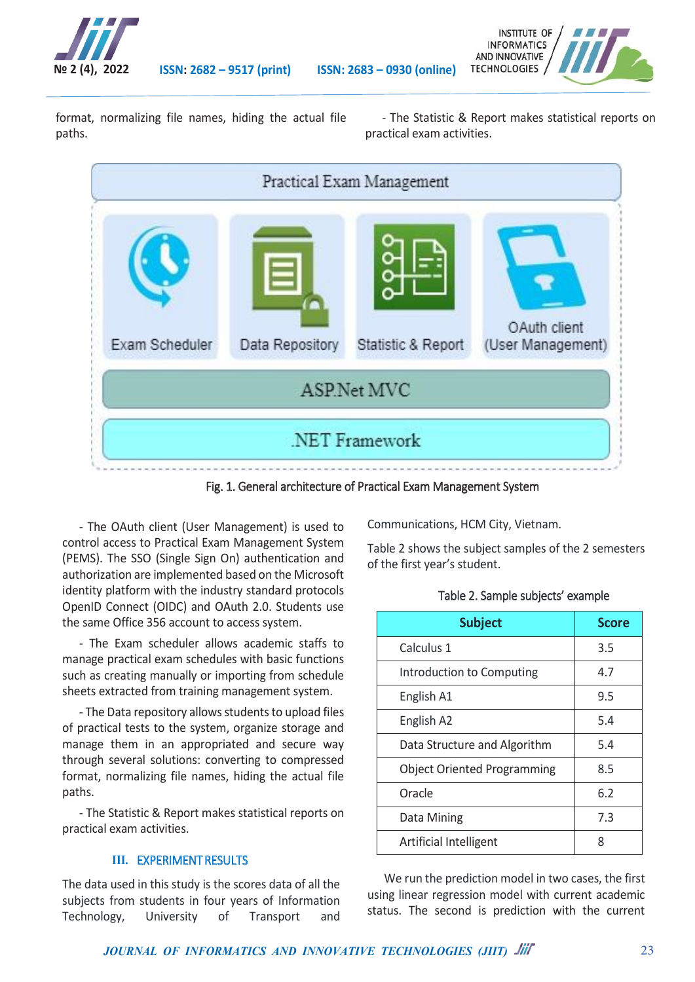

**№ 2 (4), 2022 ISSN: 2682 – 9517 (print) ISSN: 2683 – 0930 (online)**



format, normalizing file names, hiding the actual file paths.

- The Statistic & Report makes statistical reports on practical exam activities.



Fig. 1. General architecture of Practical Exam Management System

- The OAuth client (User Management) is used to control access to Practical Exam Management System (PEMS). The SSO (Single Sign On) authentication and authorization are implemented based on the Microsoft identity platform with the industry standard protocols OpenID Connect (OIDC) and OAuth 2.0. Students use the same Office 356 account to access system.

- The Exam scheduler allows academic staffs to manage practical exam schedules with basic functions such as creating manually or importing from schedule sheets extracted from training management system.

- The Data repository allows students to upload files of practical tests to the system, organize storage and manage them in an appropriated and secure way through several solutions: converting to compressed format, normalizing file names, hiding the actual file paths.

- The Statistic & Report makes statistical reports on practical exam activities.

# **III.** EXPERIMENT RESULTS

The data used in this study is the scores data of all the subjects from students in four years of Information Technology, University of Transport and

Communications, HCM City, Vietnam.

Table 2 shows the subject samples of the 2 semesters of the first year's student.

## Table 2. Sample subjects' example

| <b>Subject</b>                     | <b>Score</b> |
|------------------------------------|--------------|
| Calculus 1                         | 3.5          |
| Introduction to Computing          | 4.7          |
| English A1                         | 9.5          |
| English A2                         | 5.4          |
| Data Structure and Algorithm       | 5.4          |
| <b>Object Oriented Programming</b> | 8.5          |
| Oracle                             | 6.2          |
| Data Mining                        | 7.3          |
| Artificial Intelligent             | 8            |

We run the prediction model in two cases, the first using linear regression model with current academic status. The second is prediction with the current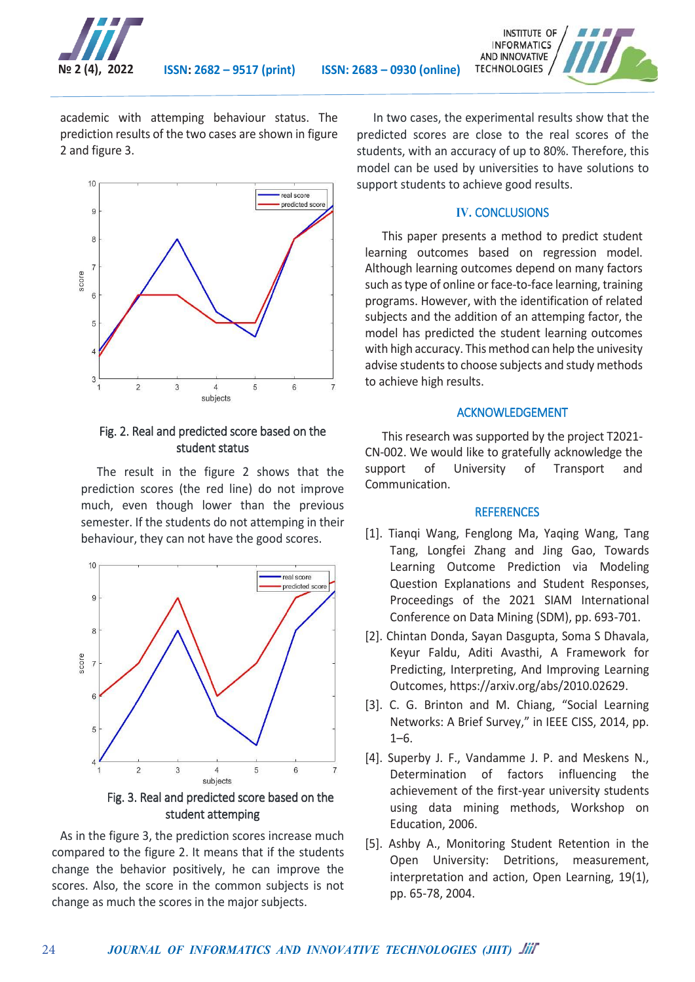



academic with attemping behaviour status. The prediction results of the two cases are shown in figure 2 and figure 3.



## Fig. 2. Real and predicted score based on the student status

The result in the figure 2 shows that the prediction scores (the red line) do not improve much, even though lower than the previous semester. If the students do not attemping in their behaviour, they can not have the good scores.



Fig. 3. Real and predicted score based on the student attemping

As in the figure 3, the prediction scores increase much compared to the figure 2. It means that if the students change the behavior positively, he can improve the scores. Also, the score in the common subjects is not change as much the scores in the major subjects.

24

In two cases, the experimental results show that the predicted scores are close to the real scores of the students, with an accuracy of up to 80%. Therefore, this model can be used by universities to have solutions to support students to achieve good results.

## **IV.** CONCLUSIONS

This paper presents a method to predict student learning outcomes based on regression model. Although learning outcomes depend on many factors such as type of online or face-to-face learning, training programs. However, with the identification of related subjects and the addition of an attemping factor, the model has predicted the student learning outcomes with high accuracy. This method can help the univesity advise students to choose subjects and study methods to achieve high results.

## ACKNOWLEDGEMENT

This research was supported by the project T2021- CN-002. We would like to gratefully acknowledge the support of University of Transport and Communication.

#### **REFERENCES**

- [1]. Tianqi Wang, Fenglong Ma, Yaqing Wang, Tang Tang, Longfei Zhang and Jing Gao, Towards Learning Outcome Prediction via Modeling Question Explanations and Student Responses, Proceedings of the 2021 SIAM International Conference on Data Mining (SDM), pp. 693-701.
- [2]. Chintan Donda, Sayan Dasgupta, Soma S Dhavala, Keyur Faldu, Aditi Avasthi, A Framework for Predicting, Interpreting, And Improving Learning Outcomes, https://arxiv.org/abs/2010.02629.
- [3]. C. G. Brinton and M. Chiang, "Social Learning Networks: A Brief Survey," in IEEE CISS, 2014, pp. 1–6.
- [4]. Superby J. F., Vandamme J. P. and Meskens N., Determination of factors influencing the achievement of the first-year university students using data mining methods, Workshop on Education, 2006.
- [5]. Ashby A., Monitoring Student Retention in the Open University: Detritions, measurement, interpretation and action, Open Learning, 19(1), pp. 65-78, 2004.